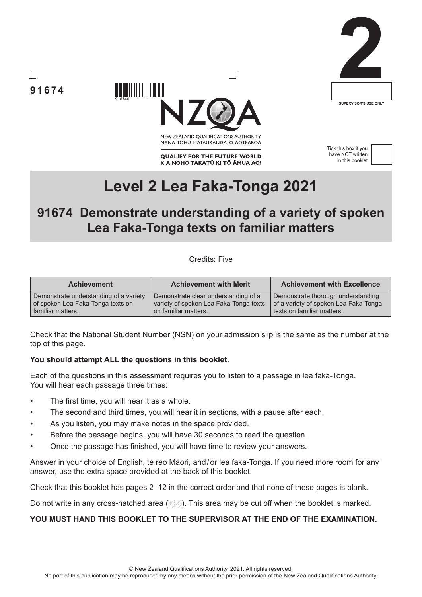





NEW ZEALAND OUALIFICATIONS AUTHORITY MANA TOHU MATAURANGA O AOTEAROA

**QUALIFY FOR THE FUTURE WORLD** KIA NOHO TAKATŪ KI TŌ ĀMUA AO! Tick this box if you have NOT written in this booklet



# **Level 2 Lea Faka-Tonga 2021**

# **91674 Demonstrate understanding of a variety of spoken Lea Faka-Tonga texts on familiar matters**

Credits: Five

| <b>Achievement</b>                     | <b>Achievement with Merit</b>          | <b>Achievement with Excellence</b>    |
|----------------------------------------|----------------------------------------|---------------------------------------|
| Demonstrate understanding of a variety | Demonstrate clear understanding of a   | Demonstrate thorough understanding    |
| of spoken Lea Faka-Tonga texts on      | variety of spoken Lea Faka-Tonga texts | of a variety of spoken Lea Faka-Tonga |
| familiar matters.                      | on familiar matters.                   | texts on familiar matters.            |

Check that the National Student Number (NSN) on your admission slip is the same as the number at the top of this page.

#### **You should attempt ALL the questions in this booklet.**

916740

Each of the questions in this assessment requires you to listen to a passage in lea faka-Tonga. You will hear each passage three times:

- The first time, you will hear it as a whole.
- The second and third times, you will hear it in sections, with a pause after each.
- As you listen, you may make notes in the space provided.
- Before the passage begins, you will have 30 seconds to read the question.
- Once the passage has finished, you will have time to review your answers.

Answer in your choice of English, te reo Māori, and/or lea faka-Tonga. If you need more room for any answer, use the extra space provided at the back of this booklet.

Check that this booklet has pages 2–12 in the correct order and that none of these pages is blank.

Do not write in any cross-hatched area  $(\Diamond \Diamond)$ . This area may be cut off when the booklet is marked.

#### **YOU MUST HAND THIS BOOKLET TO THE SUPERVISOR AT THE END OF THE EXAMINATION.**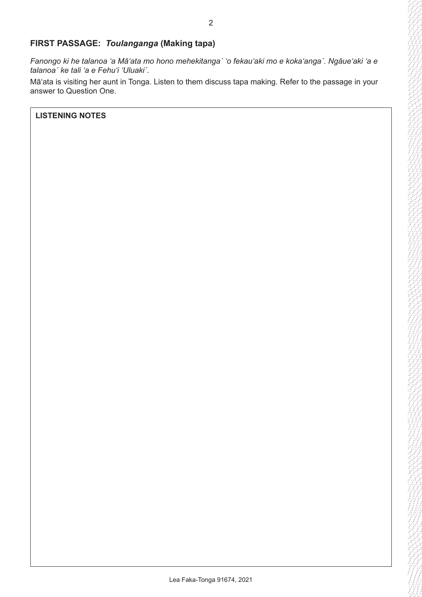#### **FIRST PASSAGE:** *Toulanganga* **(Making tapa)**

*Fanongo ki he talanoa ʻa Māʻata mo hono mehekitangaˊ ʻo fekauʻaki mo e kokaʻangaˊ. Ngāueʻaki ʻa e talanoaˊ ke tali ʻa e Fehuʻi ʻUluakiˊ.*

Mā'ata is visiting her aunt in Tonga. Listen to them discuss tapa making. Refer to the passage in your answer to Question One.

**LISTENING NOTES**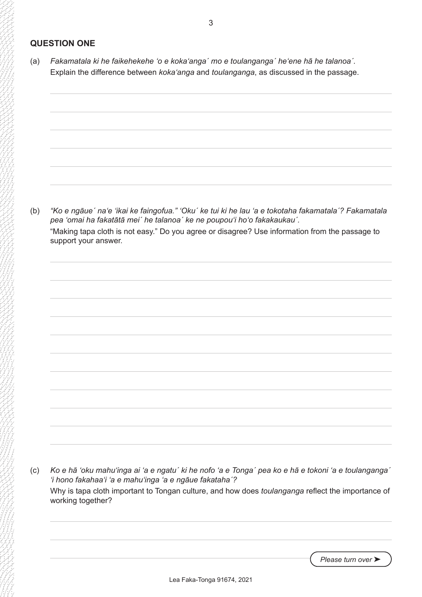## **QUESTION ONE**

(a) *Fakamatala ki he faikehekehe ʻo e kokaʻanga´ mo e toulanganga´ heʻene hā he talanoa´.* Explain the difference between *kokaʻanga* and *toulanganga*, as discussed in the passage.

(b) *"Ko e ngāue´ naʻe ʻikai ke faingofua." ʻOku´ ke tui ki he lau ʻa e tokotaha fakamatala´? Fakamatala pea ʻomai ha fakatātā mei´ he talanoa´ ke ne poupouʻi hoʻo fakakaukau´.* "Making tapa cloth is not easy." Do you agree or disagree? Use information from the passage to support your answer.

(c) *Ko e hā ʻoku mahuʻinga ai ʻa e ngatuˊ ki he nofo ʻa e Tongaˊ pea ko e hā e tokoni ʻa e toulangangaˊ ʻi hono fakahaaʻi ʻa e mahuʻinga ʻa e ngāue fakatahaˊ?* Why is tapa cloth important to Tongan culture, and how does *toulanganga* reflect the importance of working together?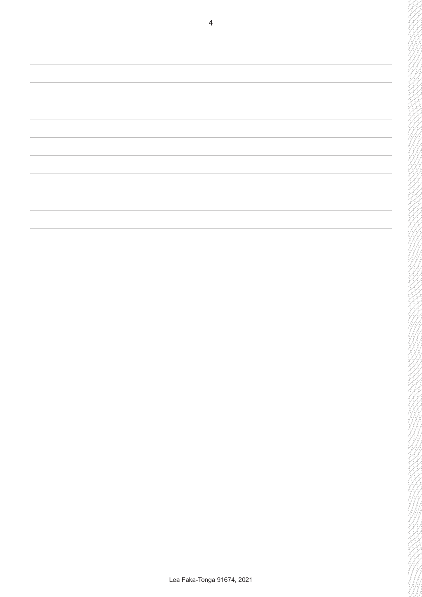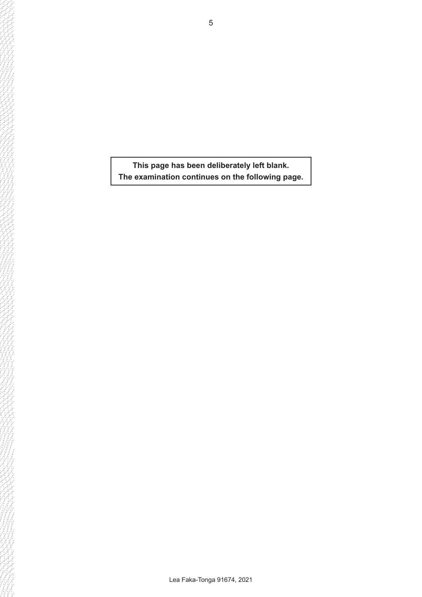**This page has been deliberately left blank. The examination continues on the following page.**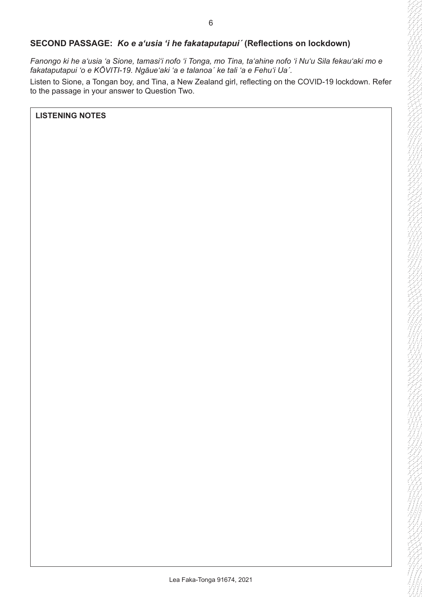#### **SECOND PASSAGE:** *Ko e a'usia 'i he fakataputapuiˊ* **(Reflections on lockdown)**

*Fanongo ki he aʻusia ʻa Sione, tamasiʻi nofo ʻi Tonga, mo Tina, taʻahine nofo ʻi Nuʻu Sila fekauʻaki mo e fakataputapui ʻo e KŌVITI-19. Ngāueʻaki ʻa e talanoaˊ ke tali ʻa e Fehuʻi Uaˊ.*

Listen to Sione, a Tongan boy, and Tina, a New Zealand girl, reflecting on the COVID-19 lockdown. Refer to the passage in your answer to Question Two.

**LISTENING NOTES**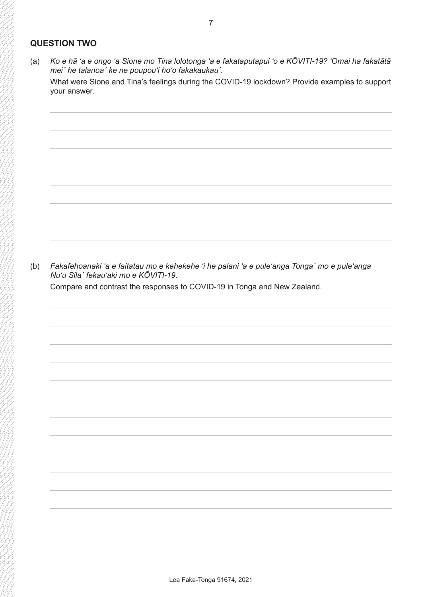# **QUESTION TWO**

(a) *Ko e hā ʻa e ongo ʻa Sione mo Tina lolotonga ʻa e fakataputapui ʻo e KŌVITI-19? ʻOmai ha fakatātā mei´ he talanoa´ ke ne poupouʻi hoʻo fakakaukau´.*

What were Sione and Tina's feelings during the COVID-19 lockdown? Provide examples to support your answer.

(b) *Fakafehoanaki ʻa e faitatau mo e kehekehe ʻi he palani ʻa e puleʻanga Tongaˊ mo e puleʻanga Nuʻu Silaˊ fekauʻaki mo e KŌVITI-19.* 

Compare and contrast the responses to COVID-19 in Tonga and New Zealand.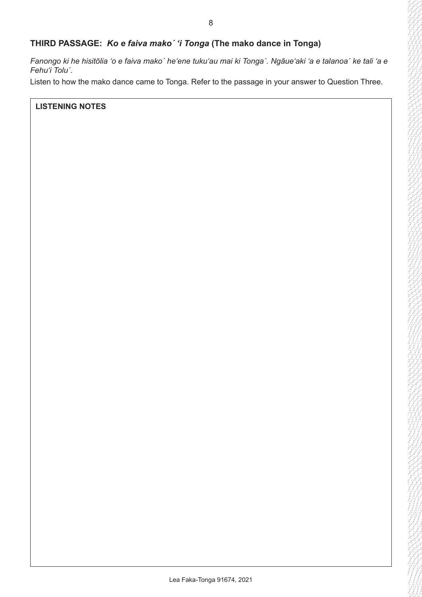#### **THIRD PASSAGE:** *Ko e faiva makoˊ 'i Tonga* **(The mako dance in Tonga)**

*Fanongo ki he hisitōlia ʻo e faiva makoˊ heʻene tukuʻau mai ki Tongaˊ. Ngāueʻaki ʻa e talanoaˊ ke tali ʻa e Fehuʻi Toluˊ.*

Listen to how the mako dance came to Tonga. Refer to the passage in your answer to Question Three.

#### **LISTENING NOTES**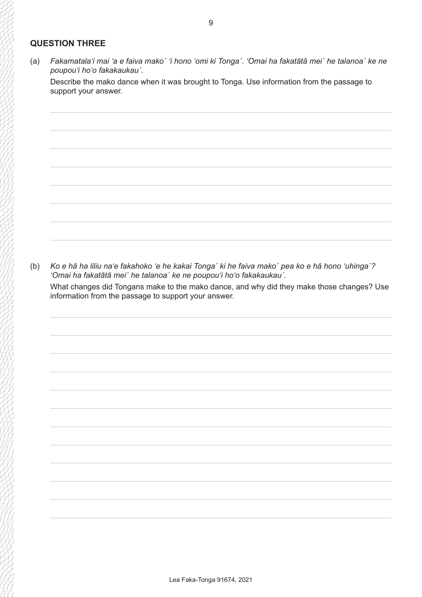## **QUESTION THREE**

(a) *Fakamatalaʻi mai ʻa e faiva makoˊ ʻi hono ʻomi ki Tongaˊ. ʻOmai ha fakatātā mei´ he talanoaˊ ke ne poupouʻi hoʻo fakakaukauˊ.*

Describe the mako dance when it was brought to Tonga. Use information from the passage to support your answer.

(b) *Ko e hā ha liliu naʻe fakahoko ʻe he kakai Tongaˊ ki he faiva makoˊ pea ko e hā hono ʻuhingaˊ? ʻOmai ha fakatātā meiˊ he talanoaˊ ke ne poupouʻi hoʻo fakakaukauˊ.* What changes did Tongans make to the mako dance, and why did they make those changes? Use information from the passage to support your answer.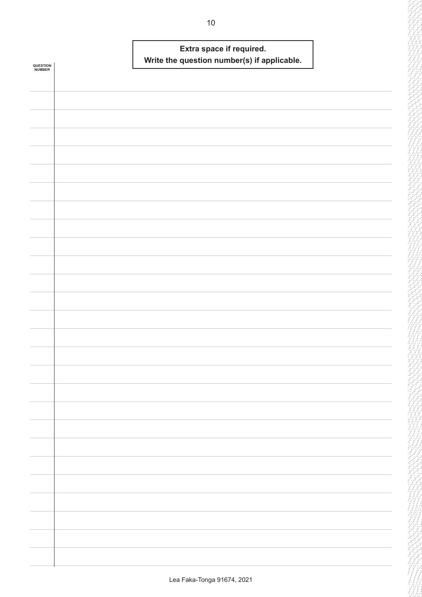|                    | Extra space if required.<br>Write the question number(s) if applicable. |  |
|--------------------|-------------------------------------------------------------------------|--|
| QUESTION<br>NUMBER |                                                                         |  |
|                    |                                                                         |  |
|                    |                                                                         |  |
|                    |                                                                         |  |
|                    |                                                                         |  |
|                    |                                                                         |  |
|                    |                                                                         |  |
|                    |                                                                         |  |
|                    |                                                                         |  |
|                    |                                                                         |  |
|                    |                                                                         |  |
|                    |                                                                         |  |
|                    |                                                                         |  |
|                    |                                                                         |  |
|                    |                                                                         |  |
|                    |                                                                         |  |
|                    |                                                                         |  |
|                    |                                                                         |  |
|                    |                                                                         |  |
|                    |                                                                         |  |
|                    |                                                                         |  |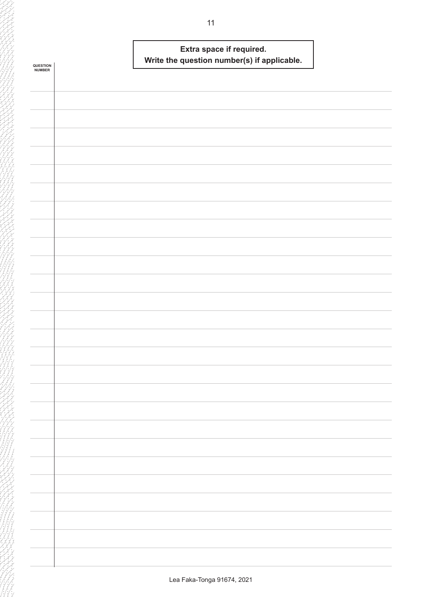| QUESTION<br>NUMBER | Extra space if required.<br>Write the question number(s) if applicable. |  |
|--------------------|-------------------------------------------------------------------------|--|
|                    |                                                                         |  |
|                    |                                                                         |  |
|                    |                                                                         |  |
|                    |                                                                         |  |
|                    |                                                                         |  |
|                    |                                                                         |  |
|                    |                                                                         |  |
|                    |                                                                         |  |
|                    |                                                                         |  |
|                    |                                                                         |  |
|                    |                                                                         |  |
|                    |                                                                         |  |
|                    |                                                                         |  |
|                    |                                                                         |  |
|                    |                                                                         |  |
|                    |                                                                         |  |
|                    |                                                                         |  |
|                    |                                                                         |  |
|                    |                                                                         |  |
|                    |                                                                         |  |